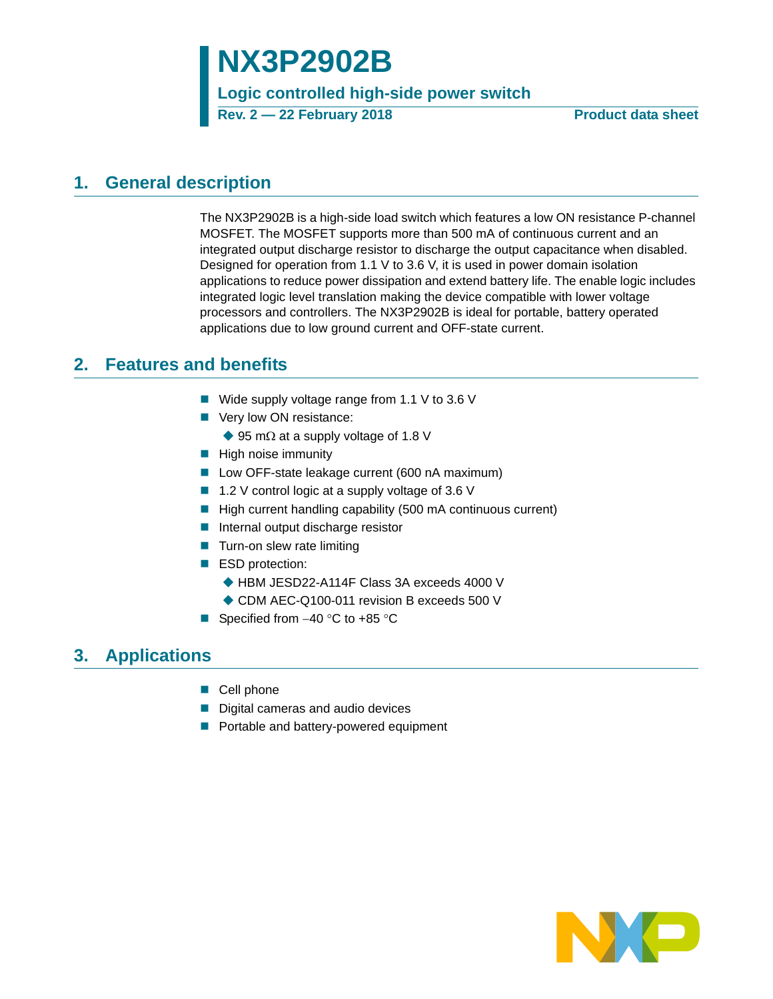# **NX3P2902B**

**Logic controlled high-side power switch**

**Rev. 2 — 22 February 2018 Product data sheet**

## <span id="page-0-0"></span>**1. General description**

The NX3P2902B is a high-side load switch which features a low ON resistance P-channel MOSFET. The MOSFET supports more than 500 mA of continuous current and an integrated output discharge resistor to discharge the output capacitance when disabled. Designed for operation from 1.1 V to 3.6 V, it is used in power domain isolation applications to reduce power dissipation and extend battery life. The enable logic includes integrated logic level translation making the device compatible with lower voltage processors and controllers. The NX3P2902B is ideal for portable, battery operated applications due to low ground current and OFF-state current.

## <span id="page-0-1"></span>**2. Features and benefits**

- Wide supply voltage range from 1.1 V to 3.6 V
- Very low ON resistance:
	- $\blacklozenge$  95 m $\Omega$  at a supply voltage of 1.8 V
- $\blacksquare$  High noise immunity
- Low OFF-state leakage current (600 nA maximum)
- 1.2 V control logic at a supply voltage of 3.6 V
- $\blacksquare$  High current handling capability (500 mA continuous current)
- Internal output discharge resistor
- $\blacksquare$  Turn-on slew rate limiting
- ESD protection:
	- HBM JESD22-A114F Class 3A exceeds 4000 V
	- ◆ CDM AEC-Q100-011 revision B exceeds 500 V
- Specified from  $-40$  °C to  $+85$  °C

## <span id="page-0-2"></span>**3. Applications**

- Cell phone
- Digital cameras and audio devices
- Portable and battery-powered equipment

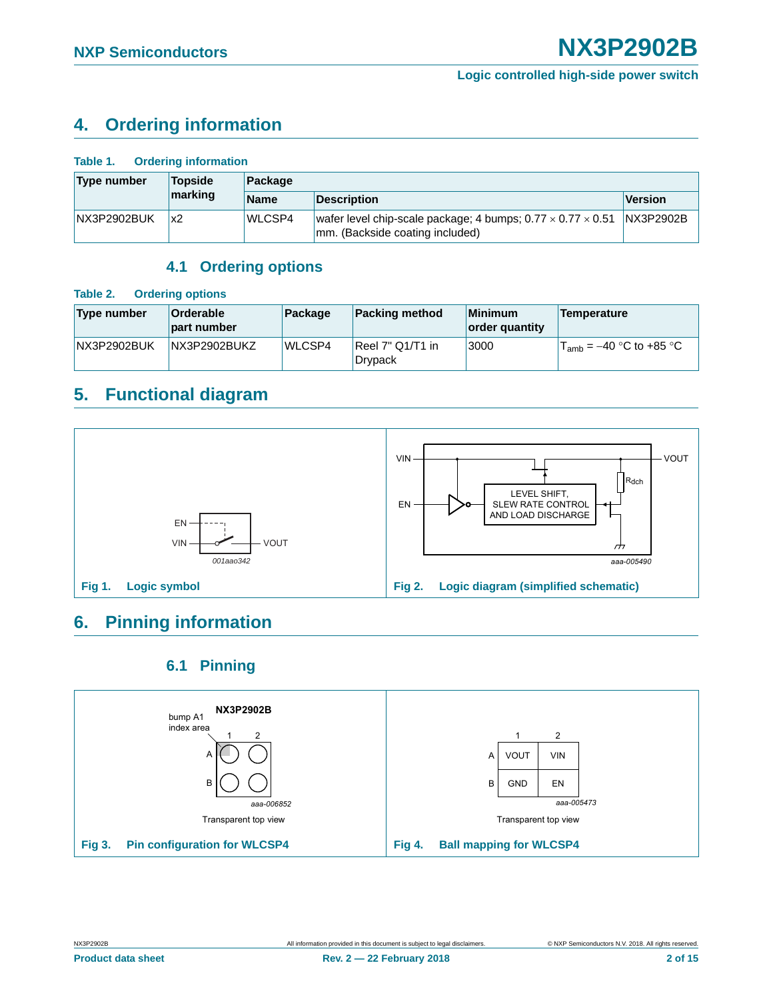## <span id="page-1-0"></span>**4. Ordering information**

| <b>Ordering information</b><br>Table 1. |         |               |                                                                                                            |                |  |  |  |
|-----------------------------------------|---------|---------------|------------------------------------------------------------------------------------------------------------|----------------|--|--|--|
| Type number                             | Topside | Package       |                                                                                                            |                |  |  |  |
|                                         | marking | <b>Name</b>   | <b>Description</b>                                                                                         | <b>Version</b> |  |  |  |
| <b>NX3P2902BUK</b>                      | х2      | <b>WLCSP4</b> | wafer level chip-scale package; 4 bumps; $0.77 \times 0.77 \times 0.51$<br>mm. (Backside coating included) | NX3P2902B      |  |  |  |

### **4.1 Ordering options**

#### <span id="page-1-1"></span>**Table 2. Ordering options**

| Type number        | <b>Orderable</b><br>part number | Package | <b>Packing method</b>          | <b>Minimum</b><br>order quantity | Temperature                  |
|--------------------|---------------------------------|---------|--------------------------------|----------------------------------|------------------------------|
| <b>NX3P2902BUK</b> | NX3P2902BUKZ                    | WLCSP4  | $ Reel 7" Q1/T1$ in<br>Drypack | 3000                             | $T_{amb} = -40$ °C to +85 °C |

## <span id="page-1-2"></span>**5. Functional diagram**



## <span id="page-1-3"></span>**6. Pinning information**

### **6.1 Pinning**

<span id="page-1-4"></span>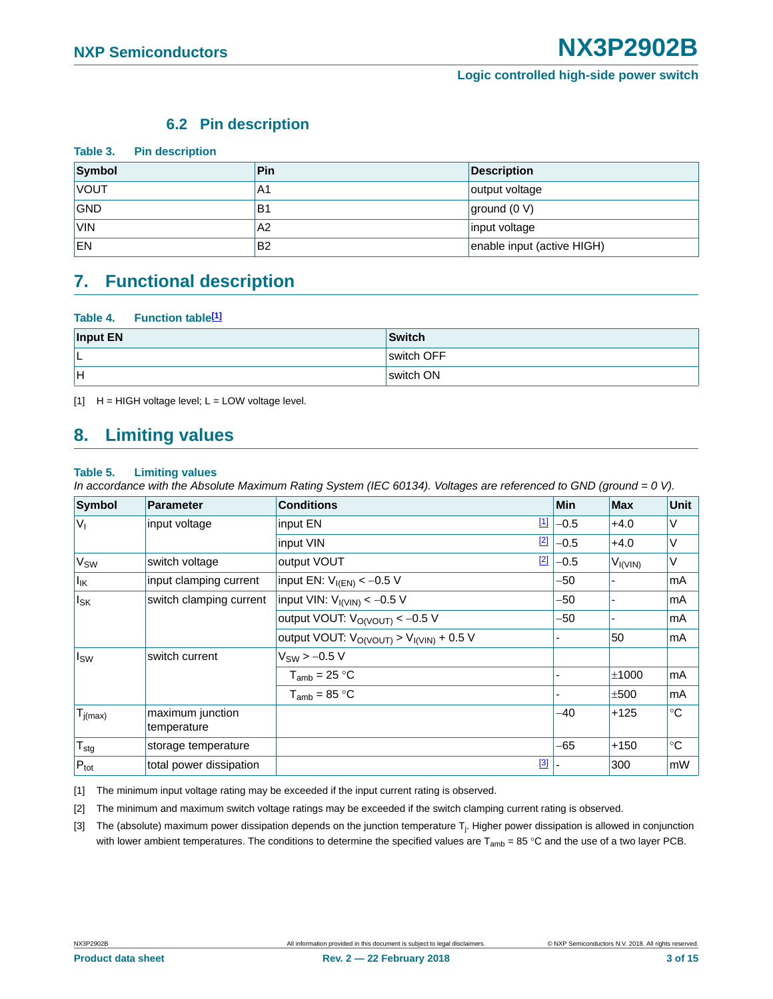### **6.2 Pin description**

<span id="page-2-4"></span>

| Table 3. Pin description |                |                            |
|--------------------------|----------------|----------------------------|
| Symbol                   | Pin            | <b>Description</b>         |
| <b>VOUT</b>              | A1             | output voltage             |
| <b>GND</b>               | B <sub>1</sub> | ground (0 V)               |
| <b>VIN</b>               | A2             | input voltage              |
| EN                       | B <sub>2</sub> | enable input (active HIGH) |

### <span id="page-2-5"></span>**7. Functional description**

#### **Table 4. Function table[\[1\]](#page-2-0)**

| Input EN | Switch     |
|----------|------------|
| ∣∟       | switch OFF |
| lн       | switch ON  |

<span id="page-2-0"></span> $[1]$  H = HIGH voltage level; L = LOW voltage level.

### <span id="page-2-6"></span>**8. Limiting values**

#### **Table 5. Limiting values**

*In accordance with the Absolute Maximum Rating System (IEC 60134). Voltages are referenced to GND (ground = 0 V).*

| <b>Symbol</b>    | <b>Parameter</b>                | <b>Conditions</b>                                 |             | <b>Min</b> | <b>Max</b>     | <b>Unit</b> |
|------------------|---------------------------------|---------------------------------------------------|-------------|------------|----------------|-------------|
| $ V_1 $          | input voltage                   | input EN                                          | $\boxed{1}$ | $-0.5$     | $+4.0$         | ٧           |
|                  |                                 | input VIN                                         | $[2]$       | $-0.5$     | $+4.0$         | V           |
| V <sub>SW</sub>  | switch voltage                  | output VOUT                                       | $[2]$       | $-0.5$     | $V_{I(VIN)}$   | V           |
| $I_{IK}$         | input clamping current          | input EN: $V_{I(EN)} < -0.5 V$                    |             | -50        |                | mA          |
| $I_{SK}$         | switch clamping current         | input VIN: $V_{I(VIN)} < -0.5 V$                  |             | -50        | $\blacksquare$ | mA          |
|                  |                                 | output VOUT: $V_{\text{O}(V\text{OUT})} < -0.5 V$ |             | -50        | ٠              | mA          |
|                  |                                 | output VOUT: $V_{O(VOUT)} > V_{I(VIN)} + 0.5 V$   |             |            | 50             | mA          |
| Isw              | switch current                  | $V_{SW}$ > -0.5 V                                 |             |            |                |             |
|                  |                                 | $T_{amb} = 25 °C$                                 |             |            | ±1000          | mA          |
|                  |                                 | $T_{amb} = 85 °C$                                 |             |            | ±500           | mA          |
| $T_{j(max)}$     | maximum junction<br>temperature |                                                   |             | -40        | $+125$         | $^{\circ}C$ |
| $T_{\text{stg}}$ | storage temperature             |                                                   |             | $-65$      | $+150$         | $^{\circ}C$ |
| $P_{\text{tot}}$ | total power dissipation         |                                                   | $[3]$       |            | 300            | mW          |

<span id="page-2-1"></span>[1] The minimum input voltage rating may be exceeded if the input current rating is observed.

<span id="page-2-2"></span>[2] The minimum and maximum switch voltage ratings may be exceeded if the switch clamping current rating is observed.

<span id="page-2-3"></span>[3] The (absolute) maximum power dissipation depends on the junction temperature T<sub>j</sub>. Higher power dissipation is allowed in conjunction with lower ambient temperatures. The conditions to determine the specified values are  $T_{amb} = 85 °C$  and the use of a two layer PCB.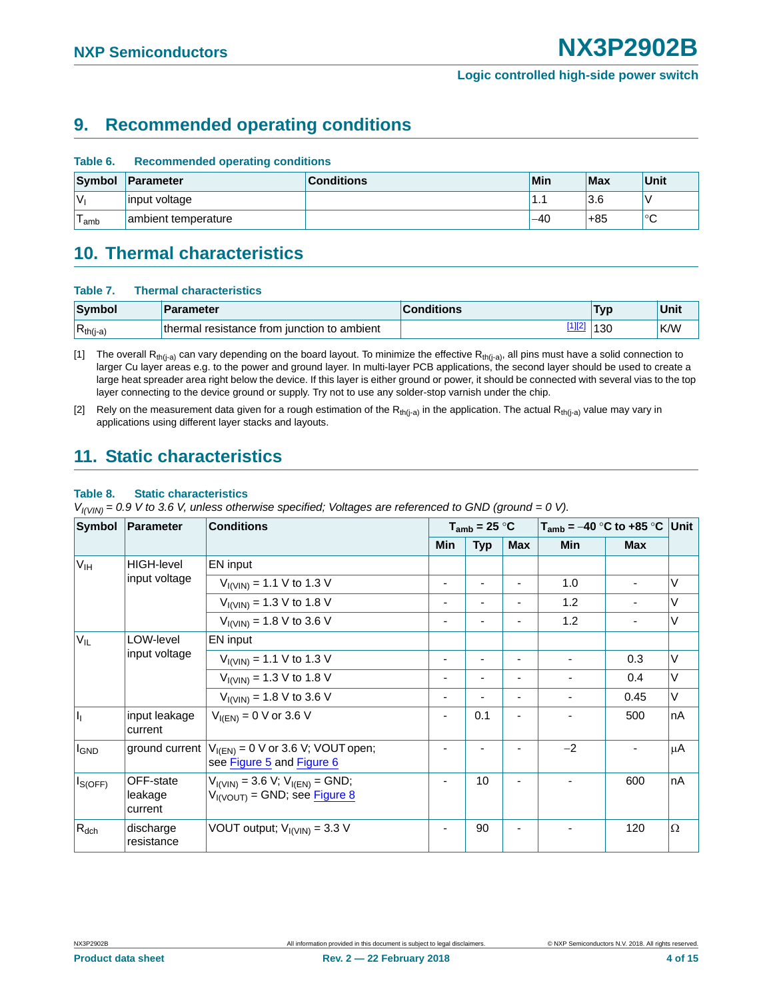## <span id="page-3-3"></span>**9. Recommended operating conditions**

| Table 6. | <b>Recommended operating conditions</b> |                   |       |     |              |  |  |  |
|----------|-----------------------------------------|-------------------|-------|-----|--------------|--|--|--|
|          | Symbol Parameter                        | <b>Conditions</b> | Min   | Max | <b>Unit</b>  |  |  |  |
| 'Vı      | input voltage                           |                   | . .   | 3.6 |              |  |  |  |
| l amb    | ambient temperature                     |                   | $-40$ | +85 | $\circ$<br>◡ |  |  |  |

### <span id="page-3-4"></span>**10. Thermal characteristics**

#### **Table 7. Thermal characteristics**

| Symbol        | <b>Parameter</b>                            | <b>Conditions</b> | Тур | Unit       |
|---------------|---------------------------------------------|-------------------|-----|------------|
| $R_{th(j-a)}$ | thermal resistance from iunction to ambient |                   | 130 | <b>K/W</b> |

<span id="page-3-0"></span>[1] The overall R<sub>th(i-a)</sub> can vary depending on the board layout. To minimize the effective R<sub>th(j-a)</sub>, all pins must have a solid connection to larger Cu layer areas e.g. to the power and ground layer. In multi-layer PCB applications, the second layer should be used to create a large heat spreader area right below the device. If this layer is either ground or power, it should be connected with several vias to the top layer connecting to the device ground or supply. Try not to use any solder-stop varnish under the chip.

<span id="page-3-1"></span>[2] Rely on the measurement data given for a rough estimation of the  $R_{th(j-a)}$  in the application. The actual  $R_{th(j-a)}$  value may vary in applications using different layer stacks and layouts.

### <span id="page-3-5"></span>**11. Static characteristics**

#### <span id="page-3-2"></span>**Table 8. Static characteristics**

*VI(VIN) = 0.9 V to 3.6 V, unless otherwise specified; Voltages are referenced to GND (ground = 0 V).*

| Symbol          | <b>Parameter</b>                | <b>Conditions</b>                                                                |                          | $T_{amb}$ = 25 °C |     | $T_{amb}$ = –40 °C to +85 °C Unit |            |          |
|-----------------|---------------------------------|----------------------------------------------------------------------------------|--------------------------|-------------------|-----|-----------------------------------|------------|----------|
|                 |                                 |                                                                                  | <b>Min</b>               | <b>Typ</b>        | Max | <b>Min</b>                        | <b>Max</b> |          |
| $V_{\text{IH}}$ | <b>HIGH-level</b>               | EN input                                                                         |                          |                   |     |                                   |            |          |
|                 | input voltage                   | $V_{I(VIN)} = 1.1 V$ to 1.3 V                                                    | $\overline{\phantom{0}}$ |                   |     | 1.0                               |            | $\vee$   |
|                 |                                 | $V_{I(VIN)} = 1.3 V$ to 1.8 V                                                    | $\overline{\phantom{0}}$ |                   |     | 1.2                               |            | $\vee$   |
|                 |                                 | $V_{\text{I}(\text{V} \text{N})}$ = 1.8 V to 3.6 V                               | ٠                        |                   |     | 1.2                               |            | V        |
| $V_{IL}$        | LOW-level                       | EN input                                                                         |                          |                   |     |                                   |            |          |
|                 | input voltage                   | $V_{\text{I}(\text{VIN})}$ = 1.1 V to 1.3 V                                      | ۰                        |                   |     |                                   | 0.3        | $\vee$   |
|                 |                                 | $V_{I(VIN)} = 1.3 V$ to 1.8 V                                                    | $\overline{\phantom{a}}$ |                   |     |                                   | 0.4        | V        |
|                 |                                 | $V_{I(VIN)} = 1.8 V$ to 3.6 V                                                    | $\overline{\phantom{a}}$ | ٠                 | ۰   |                                   | 0.45       | V        |
| I <sub>I</sub>  | input leakage<br>current        | $V_{I(EN)} = 0$ V or 3.6 V                                                       | $\overline{\phantom{a}}$ | 0.1               | ٠   |                                   | 500        | nA       |
| <b>I</b> GND    | ground current                  | $V_{I(EN)} = 0$ V or 3.6 V; VOUT open;<br>see Figure 5 and Figure 6              | $\blacksquare$           |                   |     | $-2$                              |            | μA       |
| $I_{S(OFF)}$    | OFF-state<br>leakage<br>current | $V_{I(VIN)} = 3.6 V; V_{I(EN)} = GND;$<br>$V_{\text{IVOUT}}$ = GND; see Figure 8 | $\overline{\phantom{a}}$ | 10                |     |                                   | 600        | nA       |
| $R_{dch}$       | discharge<br>resistance         | VOUT output; $V_{I(VIN)} = 3.3 V$                                                | $\overline{\phantom{a}}$ | 90                |     |                                   | 120        | $\Omega$ |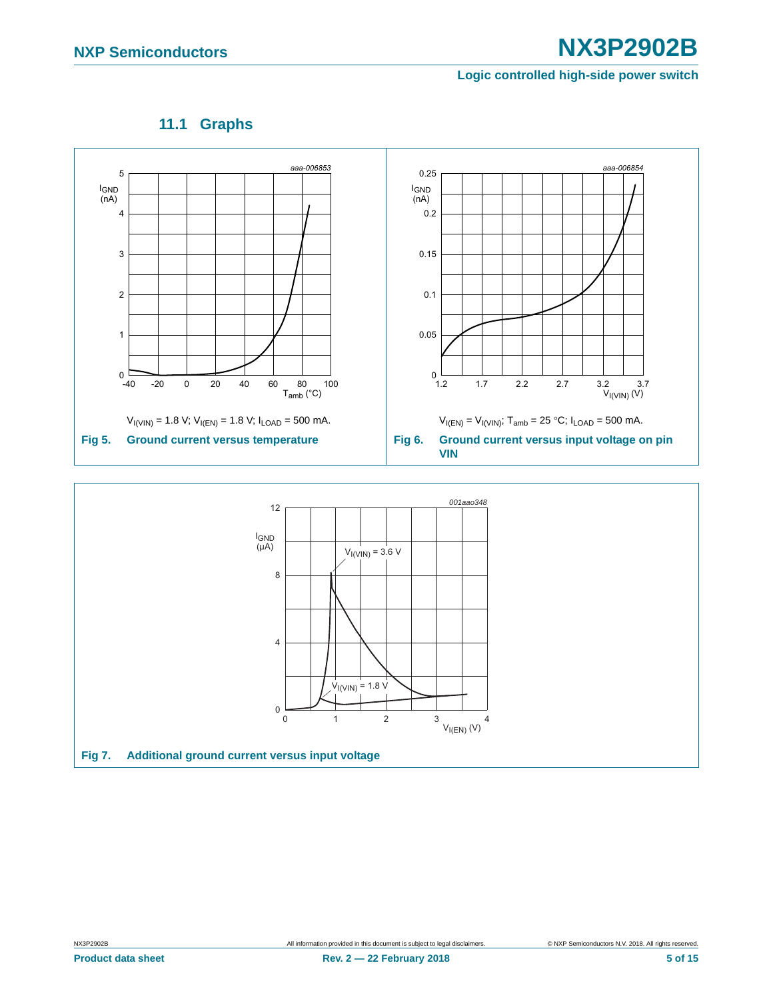<span id="page-4-2"></span>

### **11.1 Graphs**

<span id="page-4-1"></span><span id="page-4-0"></span>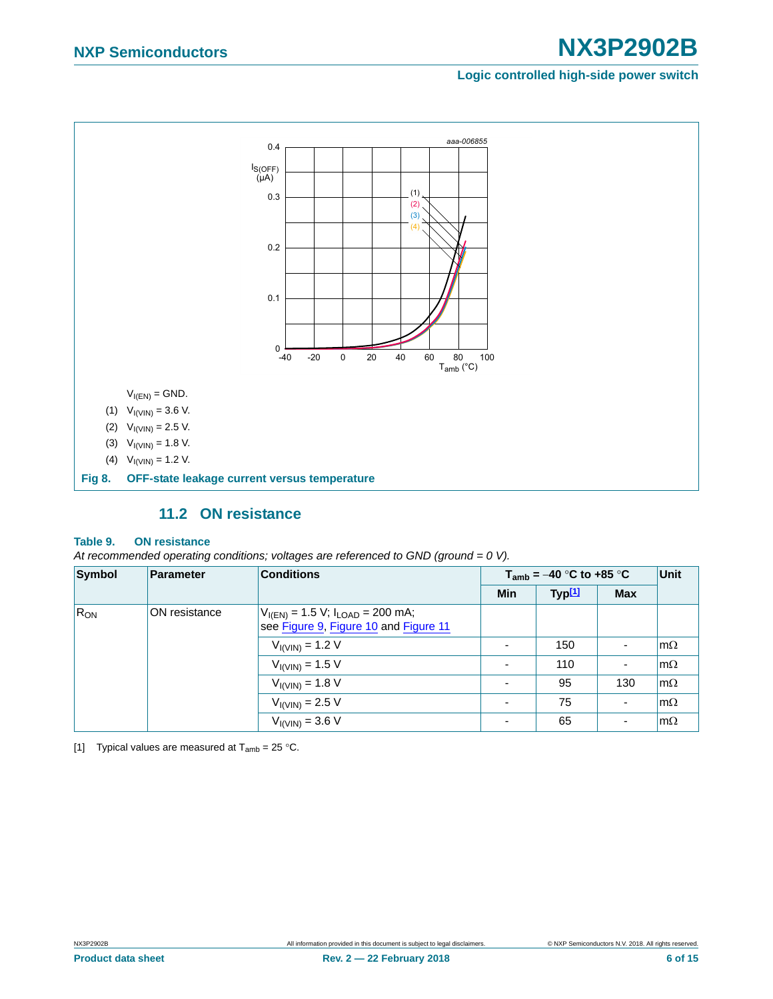# **NXP Semiconductors NX3P2902B**

#### **Logic controlled high-side power switch**



### **11.2 ON resistance**

#### <span id="page-5-2"></span><span id="page-5-0"></span>**Table 9. ON resistance**

*At recommended operating conditions; voltages are referenced to GND (ground = 0 V).*

| Symbol   | <b>Parameter</b> | <b>Conditions</b>                                                                   | $T_{amb}$ = -40 °C to +85 °C |                    |            | Unit      |
|----------|------------------|-------------------------------------------------------------------------------------|------------------------------|--------------------|------------|-----------|
|          |                  |                                                                                     | <b>Min</b>                   | Typ <sup>[1]</sup> | <b>Max</b> |           |
| $R_{ON}$ | ON resistance    | $V_{I(EN)} = 1.5 V$ ; $I_{LOAD} = 200$ mA;<br>see Figure 9, Figure 10 and Figure 11 |                              |                    |            |           |
|          |                  | $V_{I(VIN)} = 1.2 V$                                                                |                              | 150                |            | $m\Omega$ |
|          |                  | $V_{I(VIN)} = 1.5 V$                                                                |                              | 110                | ٠          | $m\Omega$ |
|          |                  | $V_{I(VIN)} = 1.8 V$                                                                | $\overline{\phantom{0}}$     | 95                 | 130        | $m\Omega$ |
|          |                  | $V_{I(VIN)} = 2.5 V$                                                                | $\overline{\phantom{0}}$     | 75                 |            | $m\Omega$ |
|          |                  | $V_{I(VIN)} = 3.6 V$                                                                |                              | 65                 |            | $m\Omega$ |

<span id="page-5-1"></span>[1] Typical values are measured at  $T_{amb} = 25 \degree C$ .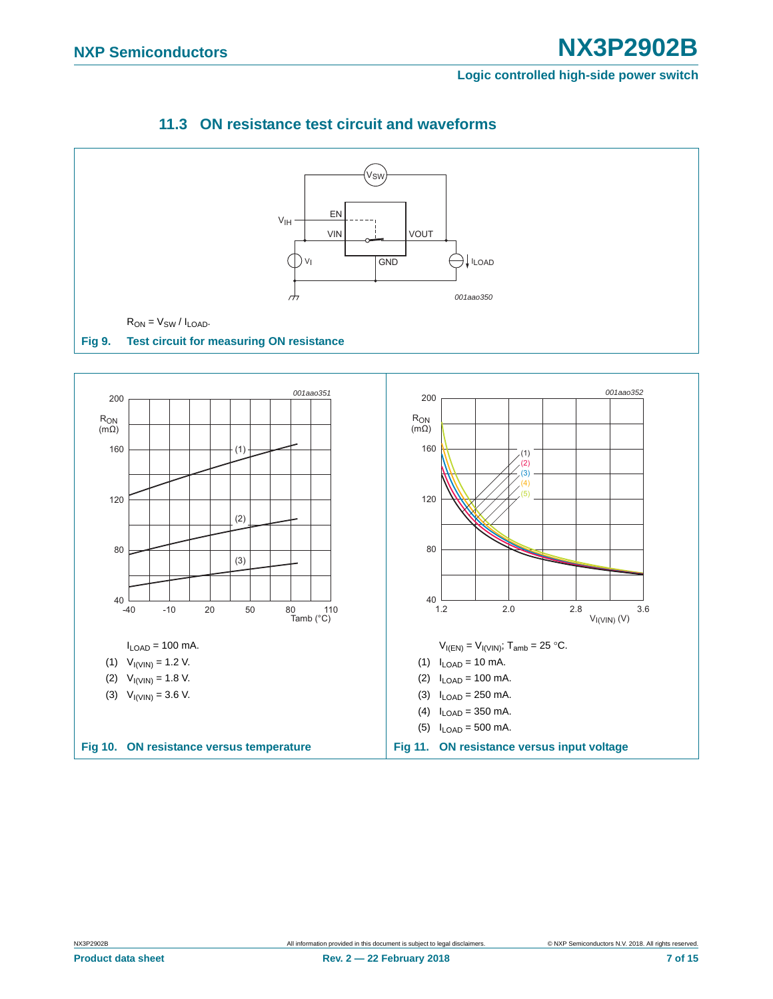<span id="page-6-3"></span><span id="page-6-1"></span><span id="page-6-0"></span>

### <span id="page-6-2"></span>**11.3 ON resistance test circuit and waveforms**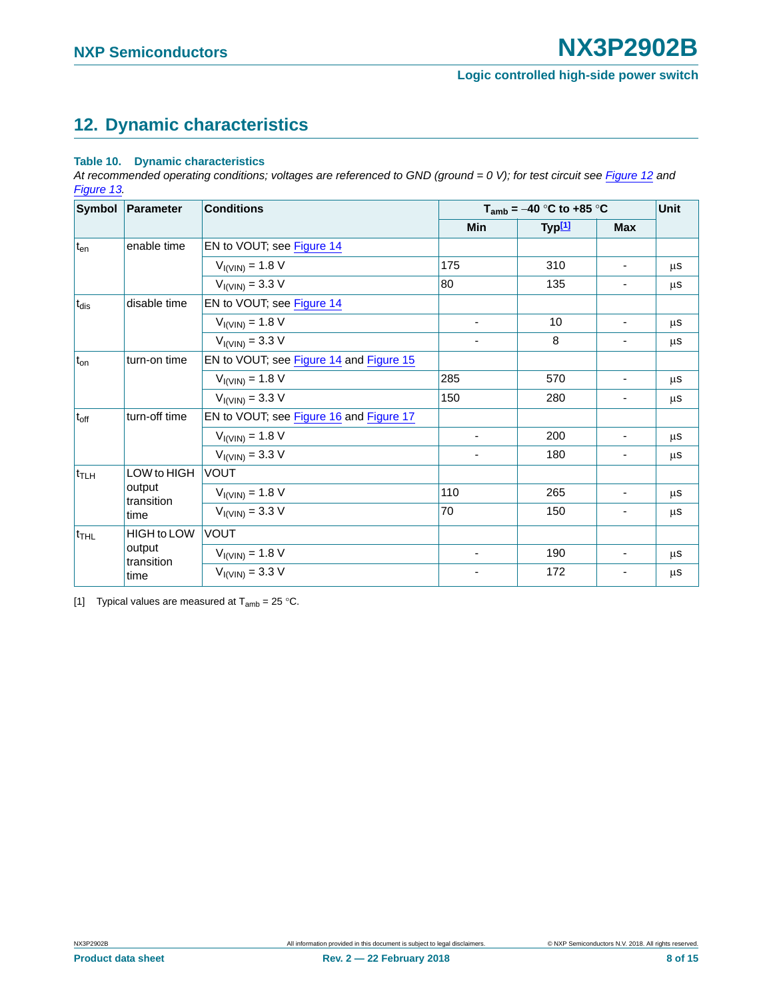## <span id="page-7-1"></span>**12. Dynamic characteristics**

#### **Table 10. Dynamic characteristics**

At recommended operating conditions; voltages are referenced to GND (ground = 0 V); for test circuit see [Figure 12](#page-8-0) and *[Figure 13](#page-8-1).*

|                  | Symbol Parameter     | <b>Conditions</b>                       | $T_{amb} = -40$ °C to +85 °C | <b>Unit</b>        |                          |    |
|------------------|----------------------|-----------------------------------------|------------------------------|--------------------|--------------------------|----|
|                  |                      |                                         | Min                          | Typ <sup>[1]</sup> | <b>Max</b>               |    |
| $t_{en}$         | enable time          | EN to VOUT; see Figure 14               |                              |                    |                          |    |
|                  |                      | $V_{I(VIN)} = 1.8 V$                    | 175                          | 310                | $\overline{\phantom{a}}$ | μS |
|                  |                      | $V_{I(VIN)} = 3.3 V$                    | 80                           | 135                | ۰.                       | μS |
| $t_{dis}$        | disable time         | EN to VOUT; see Figure 14               |                              |                    |                          |    |
|                  |                      | $V_{I(VIN)} = 1.8 V$                    | $\overline{\phantom{a}}$     | 10                 | ٠                        | μS |
|                  |                      | $V_{I(VIN)} = 3.3 V$                    | -                            | 8                  | $\overline{\phantom{0}}$ | μS |
| $t_{on}$         | turn-on time         | EN to VOUT; see Figure 14 and Figure 15 |                              |                    |                          |    |
|                  |                      | $V_{I(VIN)} = 1.8 V$                    | 285                          | 570                | ۰                        | μS |
|                  |                      | $V_{I(VIN)} = 3.3 V$                    | 150                          | 280                | $\overline{\phantom{0}}$ | μS |
| $t_{off}$        | turn-off time        | EN to VOUT; see Figure 16 and Figure 17 |                              |                    |                          |    |
|                  |                      | $V_{I(VIN)} = 1.8 V$                    | ۰                            | 200                |                          | μS |
|                  |                      | $V_{I(VIN)} = 3.3 V$                    | $\overline{\phantom{a}}$     | 180                | ۰                        | μS |
| t <sub>TLH</sub> | LOW to HIGH          | <b>VOUT</b>                             |                              |                    |                          |    |
|                  | output<br>transition | $V_{I(VIN)} = 1.8 V$                    | 110                          | 265                |                          | μS |
|                  | time                 | $V_{I(VIN)} = 3.3 V$                    | 70                           | 150                | ٠                        | μS |
| $t_{\text{THL}}$ | <b>HIGH</b> to LOW   | <b>VOUT</b>                             |                              |                    |                          |    |
|                  | output               | $V_{I(VIN)} = 1.8 V$                    | $\overline{\phantom{a}}$     | 190                | $\overline{\phantom{0}}$ | μS |
|                  | transition<br>time   | $V_{I(VIN)} = 3.3 V$                    | ٠                            | 172                |                          | μS |

<span id="page-7-0"></span>[1] Typical values are measured at  $T_{amb} = 25 \degree C$ .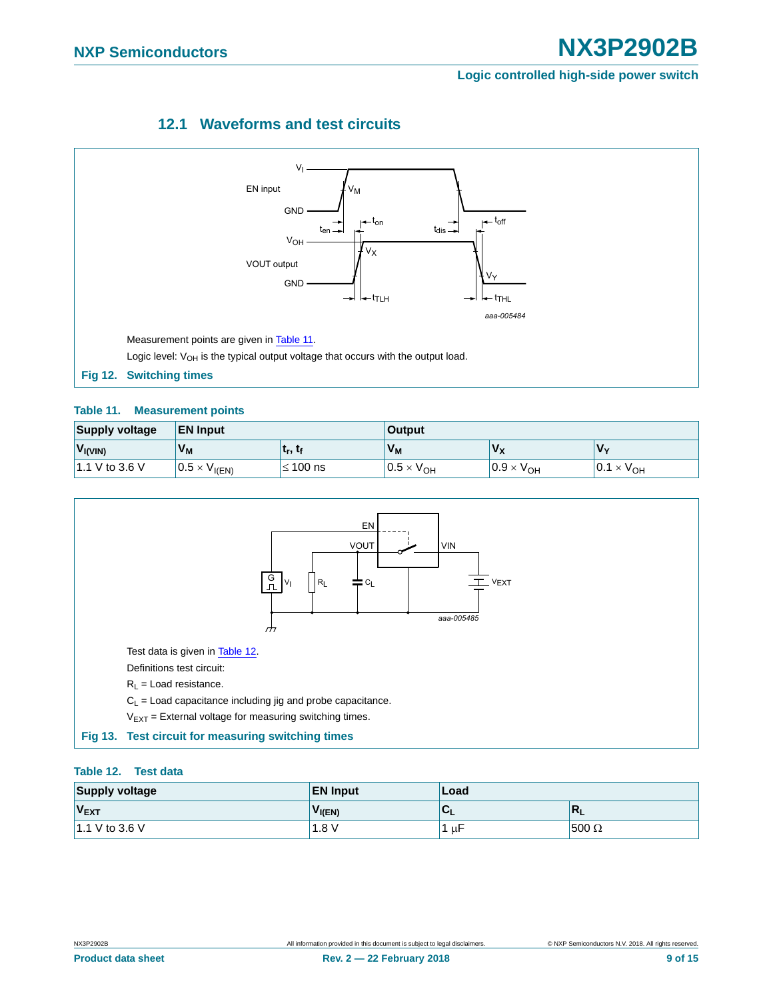# **NXP Semiconductors NX3P2902B**

#### **Logic controlled high-side power switch**

### **12.1 Waveforms and test circuits**

<span id="page-8-4"></span>

#### <span id="page-8-2"></span><span id="page-8-0"></span>**Table 11. Measurement points**

| <b>Supply voltage</b> | <b>EN Input</b>        |                                 | <b>Output</b>       |                            |                     |  |
|-----------------------|------------------------|---------------------------------|---------------------|----------------------------|---------------------|--|
| $V_{I(VIN)}$          | $V_M$                  | ւ <sub>r</sub> , ւ <sub>ք</sub> | $V_M$               | $V_{\rm X}$                | $'V_v$              |  |
| 1.1 V to 3.6 V        | $0.5 \times V_{I(EN)}$ | $\leq 100$ ns                   | $0.5 \times V_{OH}$ | $0.9 \times V_{\text{OH}}$ | $0.1 \times V_{OH}$ |  |



#### <span id="page-8-3"></span><span id="page-8-1"></span>**Table 12. Test data**

| <b>Supply voltage</b> | <b>EN Input</b> | Load |                           |  |
|-----------------------|-----------------|------|---------------------------|--|
| $V_{\text{EXT}}$      | $V_{I(EN)}$     | C    | $\mathbb{R}_{\mathsf{L}}$ |  |
| 1.1 V to 3.6 V        | 1.8V            | ւ սե | $1500 \Omega$             |  |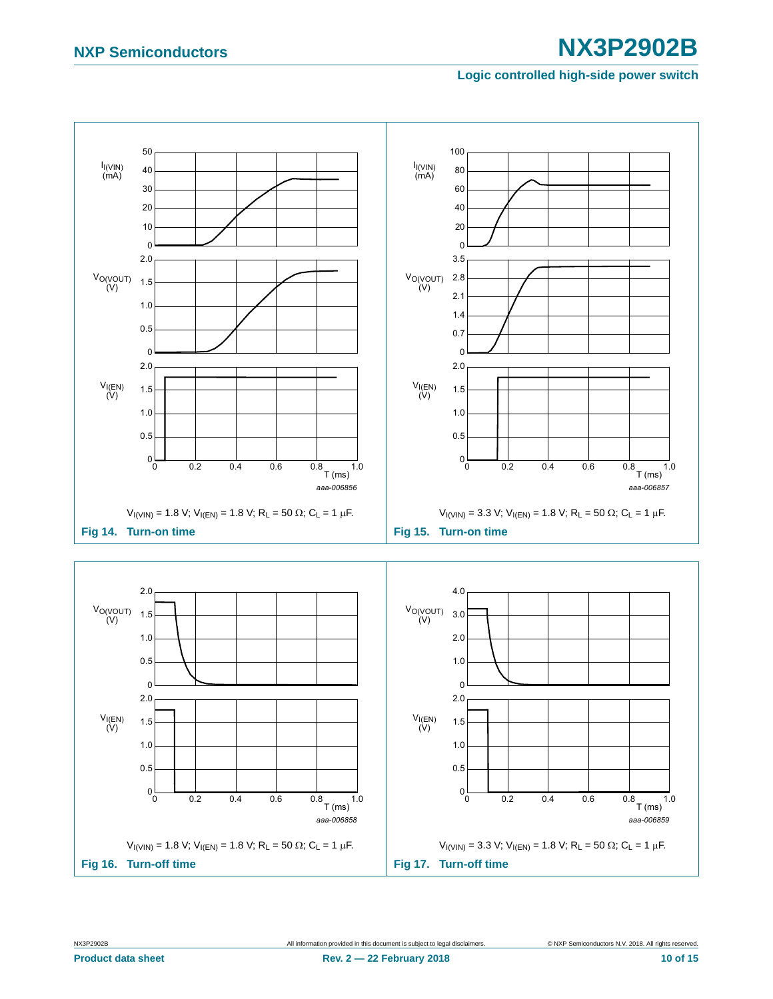# **NXP Semiconductors NX3P2902B**

#### <span id="page-9-3"></span><span id="page-9-1"></span>**Logic controlled high-side power switch**

<span id="page-9-2"></span><span id="page-9-0"></span>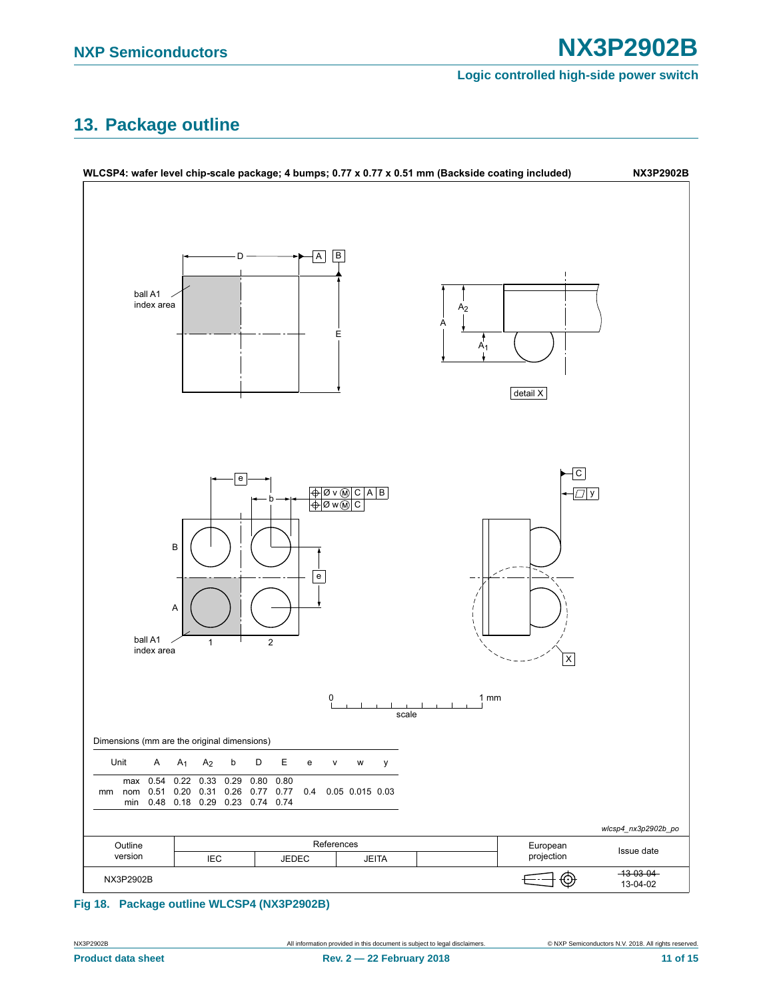## <span id="page-10-0"></span>**13. Package outline**



#### **Fig 18. Package outline WLCSP4 (NX3P2902B)**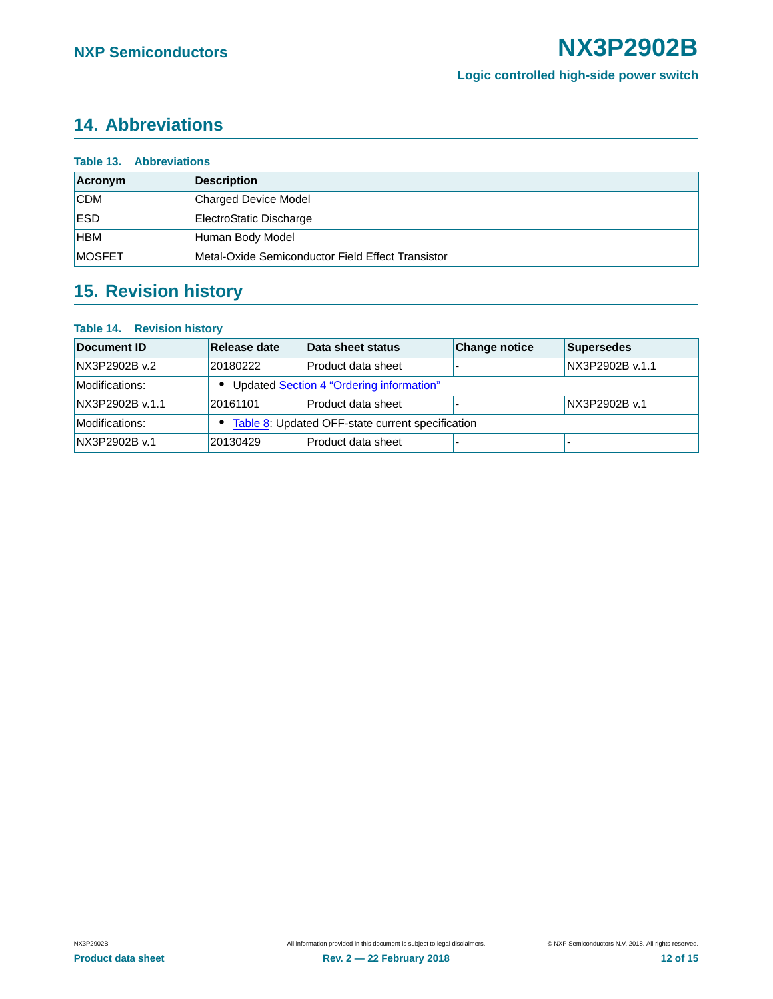## <span id="page-11-0"></span>**14. Abbreviations**

| <b>Table 13. Abbreviations</b> |                                                   |  |
|--------------------------------|---------------------------------------------------|--|
| Acronym                        | <b>Description</b>                                |  |
| <b>CDM</b>                     | <b>Charged Device Model</b>                       |  |
| <b>ESD</b>                     | ElectroStatic Discharge                           |  |
| HBM                            | Human Body Model                                  |  |
| <b>MOSFET</b>                  | Metal-Oxide Semiconductor Field Effect Transistor |  |

## <span id="page-11-1"></span>**15. Revision history**

#### **Table 14. Revision history**

| Document ID     | Release date                                       | Data sheet status  | <b>Change notice</b> | Supersedes      |
|-----------------|----------------------------------------------------|--------------------|----------------------|-----------------|
| NX3P2902B v.2   | 20180222                                           | Product data sheet |                      | NX3P2902B v.1.1 |
| Modifications:  | Updated Section 4 "Ordering information"           |                    |                      |                 |
| NX3P2902B v.1.1 | 20161101                                           | Product data sheet |                      | NX3P2902B v.1   |
| Modifications:  | • Table 8: Updated OFF-state current specification |                    |                      |                 |
| NX3P2902B v.1   | 20130429                                           | Product data sheet |                      |                 |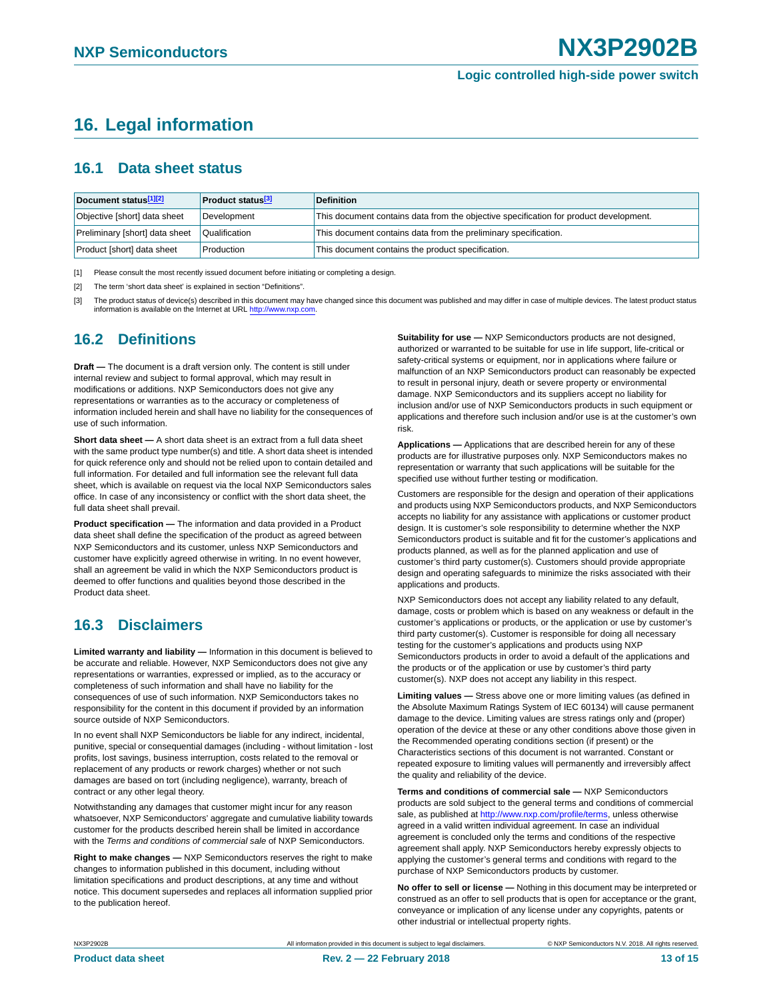## <span id="page-12-3"></span>**16. Legal information**

### <span id="page-12-4"></span>**16.1 Data sheet status**

| Document status[1][2]          | <b>Product status</b> <sup>[3]</sup> | <b>Definition</b>                                                                     |
|--------------------------------|--------------------------------------|---------------------------------------------------------------------------------------|
| Objective [short] data sheet   | Development                          | This document contains data from the objective specification for product development. |
| Preliminary [short] data sheet | Qualification                        | This document contains data from the preliminary specification.                       |
| Product [short] data sheet     | Production                           | This document contains the product specification.                                     |

<span id="page-12-0"></span>[1] Please consult the most recently issued document before initiating or completing a design.

<span id="page-12-1"></span>[2] The term 'short data sheet' is explained in section "Definitions".

<span id="page-12-2"></span>[3] The product status of device(s) described in this document may have changed since this document was published and may differ in case of multiple devices. The latest product status information is available on the Internet at URL [http://www.nxp.com.](http://www.nxp.com)

### <span id="page-12-5"></span>**16.2 Definitions**

**Draft —** The document is a draft version only. The content is still under internal review and subject to formal approval, which may result in modifications or additions. NXP Semiconductors does not give any representations or warranties as to the accuracy or completeness of information included herein and shall have no liability for the consequences of use of such information.

**Short data sheet —** A short data sheet is an extract from a full data sheet with the same product type number(s) and title. A short data sheet is intended for quick reference only and should not be relied upon to contain detailed and full information. For detailed and full information see the relevant full data sheet, which is available on request via the local NXP Semiconductors sales office. In case of any inconsistency or conflict with the short data sheet, the full data sheet shall prevail.

**Product specification —** The information and data provided in a Product data sheet shall define the specification of the product as agreed between NXP Semiconductors and its customer, unless NXP Semiconductors and customer have explicitly agreed otherwise in writing. In no event however, shall an agreement be valid in which the NXP Semiconductors product is deemed to offer functions and qualities beyond those described in the Product data sheet.

### <span id="page-12-6"></span>**16.3 Disclaimers**

**Limited warranty and liability —** Information in this document is believed to be accurate and reliable. However, NXP Semiconductors does not give any representations or warranties, expressed or implied, as to the accuracy or completeness of such information and shall have no liability for the consequences of use of such information. NXP Semiconductors takes no responsibility for the content in this document if provided by an information source outside of NXP Semiconductors.

In no event shall NXP Semiconductors be liable for any indirect, incidental, punitive, special or consequential damages (including - without limitation - lost profits, lost savings, business interruption, costs related to the removal or replacement of any products or rework charges) whether or not such damages are based on tort (including negligence), warranty, breach of contract or any other legal theory.

Notwithstanding any damages that customer might incur for any reason whatsoever, NXP Semiconductors' aggregate and cumulative liability towards customer for the products described herein shall be limited in accordance with the *Terms and conditions of commercial sale* of NXP Semiconductors.

**Right to make changes —** NXP Semiconductors reserves the right to make changes to information published in this document, including without limitation specifications and product descriptions, at any time and without notice. This document supersedes and replaces all information supplied prior to the publication hereof.

**Suitability for use —** NXP Semiconductors products are not designed, authorized or warranted to be suitable for use in life support, life-critical or safety-critical systems or equipment, nor in applications where failure or malfunction of an NXP Semiconductors product can reasonably be expected to result in personal injury, death or severe property or environmental damage. NXP Semiconductors and its suppliers accept no liability for inclusion and/or use of NXP Semiconductors products in such equipment or applications and therefore such inclusion and/or use is at the customer's own risk.

**Applications —** Applications that are described herein for any of these products are for illustrative purposes only. NXP Semiconductors makes no representation or warranty that such applications will be suitable for the specified use without further testing or modification.

Customers are responsible for the design and operation of their applications and products using NXP Semiconductors products, and NXP Semiconductors accepts no liability for any assistance with applications or customer product design. It is customer's sole responsibility to determine whether the NXP Semiconductors product is suitable and fit for the customer's applications and products planned, as well as for the planned application and use of customer's third party customer(s). Customers should provide appropriate design and operating safeguards to minimize the risks associated with their applications and products.

NXP Semiconductors does not accept any liability related to any default, damage, costs or problem which is based on any weakness or default in the customer's applications or products, or the application or use by customer's third party customer(s). Customer is responsible for doing all necessary testing for the customer's applications and products using NXP Semiconductors products in order to avoid a default of the applications and the products or of the application or use by customer's third party customer(s). NXP does not accept any liability in this respect.

**Limiting values —** Stress above one or more limiting values (as defined in the Absolute Maximum Ratings System of IEC 60134) will cause permanent damage to the device. Limiting values are stress ratings only and (proper) operation of the device at these or any other conditions above those given in the Recommended operating conditions section (if present) or the Characteristics sections of this document is not warranted. Constant or repeated exposure to limiting values will permanently and irreversibly affect the quality and reliability of the device.

**Terms and conditions of commercial sale —** NXP Semiconductors products are sold subject to the general terms and conditions of commercial sale, as published at [http://www.nxp.com/profile/terms,](http://www.nxp.com/profile/terms) unless otherwise agreed in a valid written individual agreement. In case an individual agreement is concluded only the terms and conditions of the respective agreement shall apply. NXP Semiconductors hereby expressly objects to applying the customer's general terms and conditions with regard to the purchase of NXP Semiconductors products by customer.

**No offer to sell or license —** Nothing in this document may be interpreted or construed as an offer to sell products that is open for acceptance or the grant, conveyance or implication of any license under any copyrights, patents or other industrial or intellectual property rights.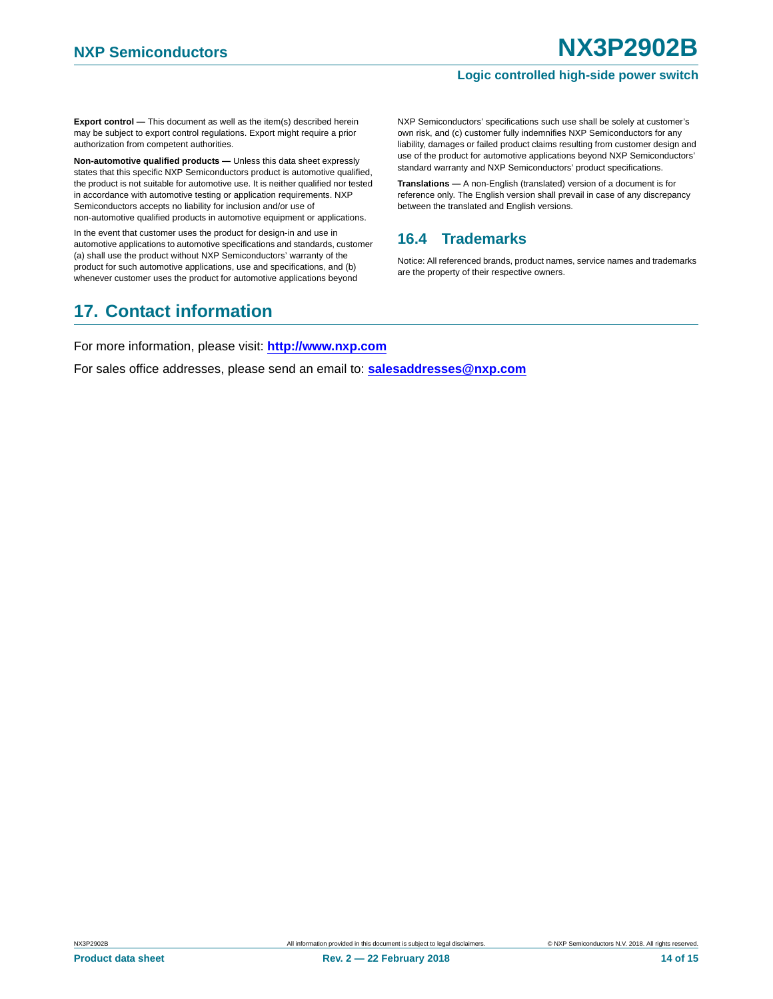**Export control —** This document as well as the item(s) described herein may be subject to export control regulations. Export might require a prior authorization from competent authorities.

**Non-automotive qualified products — Unless this data sheet expressly** states that this specific NXP Semiconductors product is automotive qualified, the product is not suitable for automotive use. It is neither qualified nor tested in accordance with automotive testing or application requirements. NXP Semiconductors accepts no liability for inclusion and/or use of non-automotive qualified products in automotive equipment or applications.

In the event that customer uses the product for design-in and use in automotive applications to automotive specifications and standards, customer (a) shall use the product without NXP Semiconductors' warranty of the product for such automotive applications, use and specifications, and (b) whenever customer uses the product for automotive applications beyond

## <span id="page-13-1"></span>**17. Contact information**

NXP Semiconductors' specifications such use shall be solely at customer's own risk, and (c) customer fully indemnifies NXP Semiconductors for any liability, damages or failed product claims resulting from customer design and use of the product for automotive applications beyond NXP Semiconductors' standard warranty and NXP Semiconductors' product specifications.

**Translations —** A non-English (translated) version of a document is for reference only. The English version shall prevail in case of any discrepancy between the translated and English versions.

### <span id="page-13-0"></span>**16.4 Trademarks**

Notice: All referenced brands, product names, service names and trademarks are the property of their respective owners.

For more information, please visit: **http://www.nxp.com**

For sales office addresses, please send an email to: **salesaddresses@nxp.com**